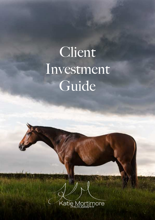# Client Investment Guide

Katie Mor nore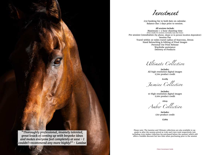Investment

£50 booking fee to hold date on calendar. Balance due 7 days prior to session.

*All sessions include:* Maximum 1-2 hour shooting time (Pure studio lit sessions normally max one hour) Pre session Consultation (by phone, skype or in person location dependent) Session Fee Travel within 30 miles travel radius of Starcross, Devon Hand Retouching & Editing of Final Images Personal Use Print Release Wardrobe assistance Delivery of Products

Ultimate Collection

*Includes:* All high resolution digital images £760 product credit

*£1089*

Jasmine Collection

*Includes:* 10 High resolution digital images £260 product credit

*£629*

Amber Collection

*Includes:* £60 product credit

**£269**

Please note: The Jasmine and Ultimate collections are also available to upgrade to after the session priced at £380 and £900 total respectively (not including £250 Amber Collection fee purchased before the session) which still offers a notable discount but less than when purchasing prior to the session



*great knack of coming up with bespoke ideas and makes everyone feel completely at ease - I couldn't recommend any more highly!" -* **Louise**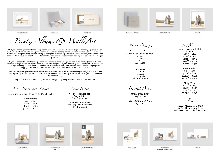





**MATTED FRAMES** 

LINEN BOX

WOOD BOX

Prints, Albums & Wall Art

Fine Art Matte Prints

Tiered pricing available for sizes 12x8" and smaller

**Unmounted** 7x5" - £30  $12x8" - £50$ 18x12" - £100 30x20" - £200

**Full Sized**   $1 - £40$ 5- £160 10 - £280 All  $(50+) - £450$ 

Print Boxes

**Unmounted from**  $7x5" - £81$ 

**Wood presentation box 6x4" prints**  Start from £299

**Matted/Mounted from**  $7x5" - £89$ 



**HETAL PRINTS** 





DIGITAL DOWNLOADS





CANVAS PRINTS CALENDARS DIGITAL DOWNLOADS CALENDARS CALENDARS CALENDARS COLORED MAGAZINES



ACRYLIC PRINTS

**FRAMES** 

**Linen Presentation box 6x4", 5x7" or 8x10" prints** Start from £140





**FINE ART ALDUMS** 

Digital Images

**Social media (prints to 9x6")**  $1 - 10$ 5- £40 10 - £70 All - £250

Framed Prints

Wall Art

(other sizes available) **Canvas**   $8x8" - £111$  $8x10" - £124$  $14x11" - £152$  $20x16" - £203$ 36x24" - £368

## **Acrylic Print**

| 12x8"  | $-$ £200 |
|--------|----------|
| 15x10" | - £280   |
| 24x16" | - £400   |
| 30x20" | - £500   |

# **Metal Print**

| 10x8"  | $- 143$ |
|--------|---------|
| 18x12" | - £253  |
| 24x20" | – £503  |
| 40x30" | - £976  |

Albums

### **Fine Art Albums from £328 Lay Flat Albums from £224 Hardcover photo books from £200**

PRINTS

All digital images purchased include a personal print licence which allows you to print as many copies as you so wish, and to share digitally or in print with friends and family for personal (not commercial) use. Please note the licence does not permit any further editing to take place to the images by anyone other than myself without prior consent. If you have any specific requests regarding the editing please just ask, as I try to be as accommodating as possible.

If you do choose to print the images yourself, I always suggest using a professional print lab (such as the one available through my galleries) and not a high street print provider, and especially not instant printers, as you will be disappointed by the quality due to the limited ink selection these printers use. Please note all single prints I supply unless stated otherwise are printed on archival standard fine art papers.

Please note any print purchased from myself also includes a free social media sized digital copy which is also suitable to print up to 9x6". (Multiple aperture prints where individual images are smaller than 9x6" in dimension are not included)

Any orders placed within 30 days of the proofing gallery being delivered receive a 10% discount